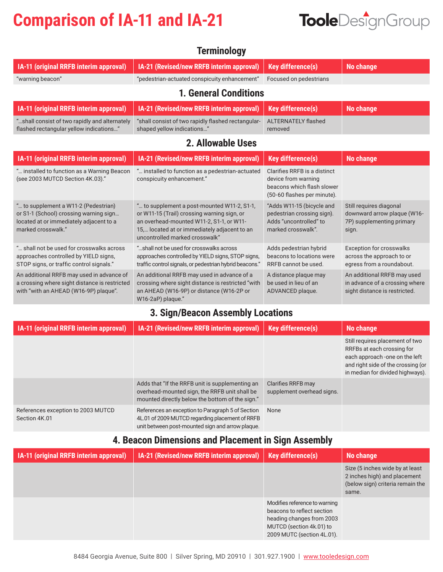# **Comparison of IA-11 and IA-21**



| IA-21 (Revised/new RRFB interim approval)                                                                                                                                                                                | <b>Key difference(s)</b>                                                                                         | <b>No change</b>                                                                               |  |  |
|--------------------------------------------------------------------------------------------------------------------------------------------------------------------------------------------------------------------------|------------------------------------------------------------------------------------------------------------------|------------------------------------------------------------------------------------------------|--|--|
| "pedestrian-actuated conspicuity enhancement"                                                                                                                                                                            | Focused on pedestrians                                                                                           |                                                                                                |  |  |
| <b>1. General Conditions</b>                                                                                                                                                                                             |                                                                                                                  |                                                                                                |  |  |
| IA-21 (Revised/new RRFB interim approval)                                                                                                                                                                                | <b>Key difference(s)</b>                                                                                         | <b>No change</b>                                                                               |  |  |
| "shall consist of two rapidly flashed rectangular-<br>shaped yellow indications"                                                                                                                                         | <b>ALTERNATELY flashed</b><br>removed                                                                            |                                                                                                |  |  |
| 2. Allowable Uses                                                                                                                                                                                                        |                                                                                                                  |                                                                                                |  |  |
| IA-21 (Revised/new RRFB interim approval)                                                                                                                                                                                | <b>Key difference(s)</b>                                                                                         | <b>No change</b>                                                                               |  |  |
| " installed to function as a pedestrian-actuated<br>conspicuity enhancement."                                                                                                                                            | Clarifies RRFB is a distinct<br>device from warning<br>beacons which flash slower<br>(50-60 flashes per minute). |                                                                                                |  |  |
| " to supplement a post-mounted W11-2, S1-1,<br>or W11-15 (Trail) crossing warning sign, or<br>an overhead-mounted W11-2, S1-1, or W11-<br>15, located at or immediately adjacent to an<br>uncontrolled marked crosswalk" | "Adds W11-15 (bicycle and<br>pedestrian crossing sign).<br>Adds "uncontrolled" to<br>marked crosswalk".          | Still requires diagonal<br>downward arrow plaque (W16-<br>7P) supplementing primary<br>sign.   |  |  |
| "shall not be used for crosswalks across<br>approaches controlled by YIELD signs, STOP signs,<br>traffic control signals, or pedestrian hybrid beacons."                                                                 | Adds pedestrian hybrid<br>beacons to locations were<br>RRFB cannot be used.                                      | <b>Exception for crosswalks</b><br>across the approach to or<br>egress from a roundabout.      |  |  |
| An additional RRFB may used in advance of a<br>crossing where sight distance is restricted "with<br>an AHEAD (W16-9P) or distance (W16-2P or<br>W16-2aP) plaque."                                                        | A distance plaque may<br>be used in lieu of an<br>ADVANCED plaque.                                               | An additional RRFB may used<br>in advance of a crossing where<br>sight distance is restricted. |  |  |
|                                                                                                                                                                                                                          |                                                                                                                  |                                                                                                |  |  |

**Terminology** 

### **3. Sign/Beacon Assembly Locations**

| IA-11 (original RRFB interim approval)              | IA-21 (Revised/new RRFB interim approval)                                                                                                                | <b>Key difference(s)</b>                         | No change                                                                                                                                                                 |
|-----------------------------------------------------|----------------------------------------------------------------------------------------------------------------------------------------------------------|--------------------------------------------------|---------------------------------------------------------------------------------------------------------------------------------------------------------------------------|
|                                                     |                                                                                                                                                          |                                                  | Still requires placement of two<br>RRFBs at each crossing for<br>each approach -one on the left<br>and right side of the crossing (or<br>in median for divided highways). |
|                                                     | Adds that "If the RRFB unit is supplementing an<br>overhead-mounted sign, the RRFB unit shall be<br>mounted directly below the bottom of the sign."      | Clarifies RRFB may<br>supplement overhead signs. |                                                                                                                                                                           |
| References exception to 2003 MUTCD<br>Section 4K.01 | References an exception to Paragraph 5 of Section<br>4L.01 of 2009 MUTCD regarding placement of RRFB<br>unit between post-mounted sign and arrow plaque. | None                                             |                                                                                                                                                                           |

#### **4. Beacon Dimensions and Placement in Sign Assembly**

| <b>IA-11 (original RRFB interim approval)</b> | <b>IA-21 (Revised/new RRFB interim approval)</b> | <b>Key difference(s)</b>                                                                                                                           | No change                                                                                                    |
|-----------------------------------------------|--------------------------------------------------|----------------------------------------------------------------------------------------------------------------------------------------------------|--------------------------------------------------------------------------------------------------------------|
|                                               |                                                  |                                                                                                                                                    | Size (5 inches wide by at least<br>2 inches high) and placement<br>(below sign) criteria remain the<br>same. |
|                                               |                                                  | Modifies reference to warning<br>beacons to reflect section<br>heading changes from 2003<br>MUTCD (section 4k.01) to<br>2009 MUTC (section 4L.01). |                                                                                                              |